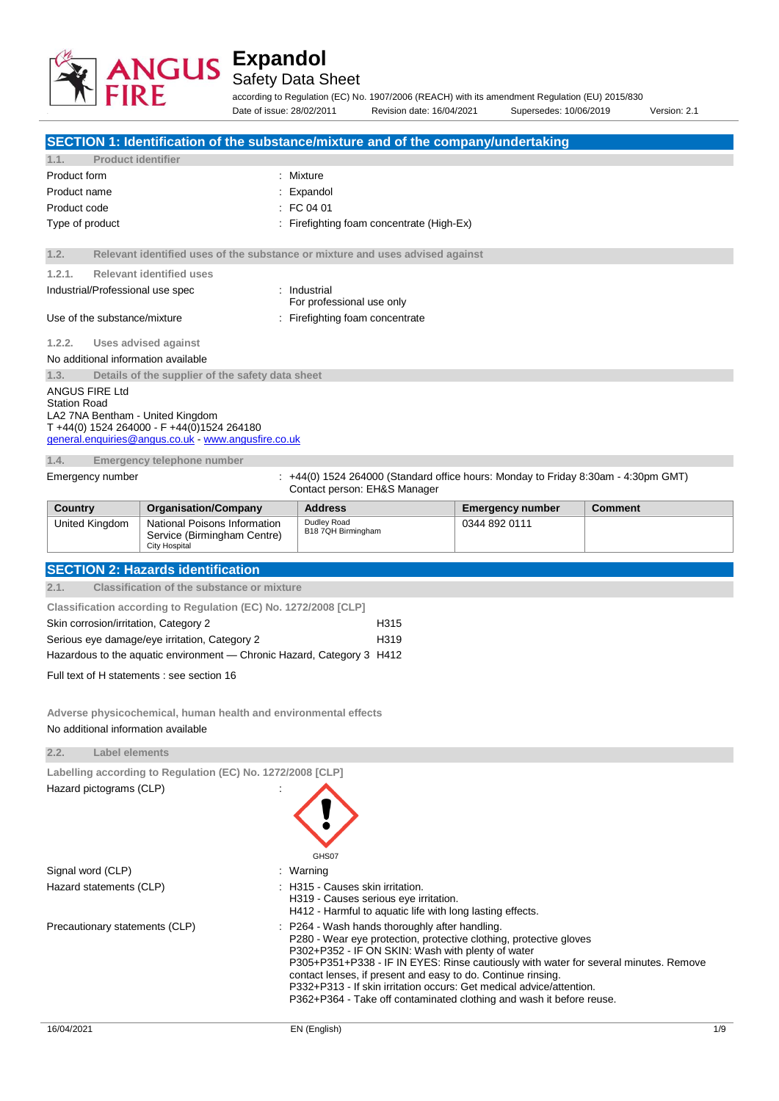

Safety Data Sheet

according to Regulation (EC) No. 1907/2006 (REACH) with its amendment Regulation (EU) 2015/830 Date of issue: 28/02/2011 Revision date: 16/04/2021 Supersedes: 10/06/2019 Version: 2.1

| SECTION 1: Identification of the substance/mixture and of the company/undertaking                                                         |                                                                                     |                                                                                                                                              |                         |                |
|-------------------------------------------------------------------------------------------------------------------------------------------|-------------------------------------------------------------------------------------|----------------------------------------------------------------------------------------------------------------------------------------------|-------------------------|----------------|
| 1.1.                                                                                                                                      | <b>Product identifier</b>                                                           |                                                                                                                                              |                         |                |
| Product form                                                                                                                              |                                                                                     | : Mixture                                                                                                                                    |                         |                |
| Product name                                                                                                                              |                                                                                     | Expandol                                                                                                                                     |                         |                |
| Product code                                                                                                                              |                                                                                     | $\therefore$ FC 04 01                                                                                                                        |                         |                |
| Type of product                                                                                                                           |                                                                                     | : Firefighting foam concentrate (High-Ex)                                                                                                    |                         |                |
| 1.2.                                                                                                                                      |                                                                                     | Relevant identified uses of the substance or mixture and uses advised against                                                                |                         |                |
| 1.2.1.                                                                                                                                    | <b>Relevant identified uses</b>                                                     |                                                                                                                                              |                         |                |
| Industrial/Professional use spec<br>: Industrial<br>For professional use only                                                             |                                                                                     |                                                                                                                                              |                         |                |
| Use of the substance/mixture                                                                                                              |                                                                                     | : Firefighting foam concentrate                                                                                                              |                         |                |
| 1.2.2.                                                                                                                                    | Uses advised against                                                                |                                                                                                                                              |                         |                |
| No additional information available                                                                                                       |                                                                                     |                                                                                                                                              |                         |                |
| 1.3.                                                                                                                                      | Details of the supplier of the safety data sheet                                    |                                                                                                                                              |                         |                |
| ANGUS FIRE Ltd                                                                                                                            |                                                                                     |                                                                                                                                              |                         |                |
| <b>Station Road</b><br>LA2 7NA Bentham - United Kingdom                                                                                   |                                                                                     |                                                                                                                                              |                         |                |
|                                                                                                                                           | T +44(0) 1524 264000 - F +44(0)1524 264180                                          |                                                                                                                                              |                         |                |
|                                                                                                                                           | general.enquiries@angus.co.uk www.angusfire.co.uk                                   |                                                                                                                                              |                         |                |
| 1.4.                                                                                                                                      | Emergency telephone number                                                          |                                                                                                                                              |                         |                |
| Emergency number                                                                                                                          |                                                                                     | $: +44(0)$ 1524 264000 (Standard office hours: Monday to Friday 8:30am - 4:30pm GMT)<br>Contact person: EH&S Manager                         |                         |                |
| <b>Country</b>                                                                                                                            | <b>Organisation/Company</b>                                                         | <b>Address</b>                                                                                                                               | <b>Emergency number</b> | <b>Comment</b> |
| United Kingdom                                                                                                                            | National Poisons Information<br>Service (Birmingham Centre)<br><b>City Hospital</b> | Dudley Road<br>B18 7QH Birmingham                                                                                                            | 0344 892 0111           |                |
|                                                                                                                                           | <b>SECTION 2: Hazards identification</b>                                            |                                                                                                                                              |                         |                |
| 2.1.                                                                                                                                      | <b>Classification of the substance or mixture</b>                                   |                                                                                                                                              |                         |                |
|                                                                                                                                           | Classification according to Regulation (EC) No. 1272/2008 [CLP]                     |                                                                                                                                              |                         |                |
| Skin corrosion/irritation, Category 2                                                                                                     |                                                                                     | H315                                                                                                                                         |                         |                |
|                                                                                                                                           | Serious eye damage/eye irritation, Category 2                                       | H319                                                                                                                                         |                         |                |
|                                                                                                                                           | Hazardous to the aquatic environment - Chronic Hazard, Category 3 H412              |                                                                                                                                              |                         |                |
|                                                                                                                                           | Full text of H statements : see section 16                                          |                                                                                                                                              |                         |                |
|                                                                                                                                           |                                                                                     |                                                                                                                                              |                         |                |
|                                                                                                                                           |                                                                                     |                                                                                                                                              |                         |                |
| No additional information available                                                                                                       | Adverse physicochemical, human health and environmental effects                     |                                                                                                                                              |                         |                |
|                                                                                                                                           |                                                                                     |                                                                                                                                              |                         |                |
| 2.2.<br>Label elements                                                                                                                    |                                                                                     |                                                                                                                                              |                         |                |
|                                                                                                                                           | Labelling according to Regulation (EC) No. 1272/2008 [CLP]                          |                                                                                                                                              |                         |                |
| Hazard pictograms (CLP)                                                                                                                   |                                                                                     |                                                                                                                                              |                         |                |
|                                                                                                                                           |                                                                                     |                                                                                                                                              |                         |                |
|                                                                                                                                           |                                                                                     |                                                                                                                                              |                         |                |
|                                                                                                                                           |                                                                                     |                                                                                                                                              |                         |                |
|                                                                                                                                           |                                                                                     | GHS07                                                                                                                                        |                         |                |
| Signal word (CLP)                                                                                                                         |                                                                                     | : Warning                                                                                                                                    |                         |                |
| Hazard statements (CLP)                                                                                                                   |                                                                                     | H315 - Causes skin irritation.<br>H319 - Causes serious eye irritation.<br>H412 - Harmful to aquatic life with long lasting effects.         |                         |                |
| Precautionary statements (CLP)                                                                                                            |                                                                                     | P264 - Wash hands thoroughly after handling.                                                                                                 |                         |                |
|                                                                                                                                           |                                                                                     | P280 - Wear eye protection, protective clothing, protective gloves                                                                           |                         |                |
| P302+P352 - IF ON SKIN: Wash with plenty of water<br>P305+P351+P338 - IF IN EYES: Rinse cautiously with water for several minutes. Remove |                                                                                     |                                                                                                                                              |                         |                |
|                                                                                                                                           |                                                                                     | contact lenses, if present and easy to do. Continue rinsing.                                                                                 |                         |                |
|                                                                                                                                           |                                                                                     | P332+P313 - If skin irritation occurs: Get medical advice/attention.<br>P362+P364 - Take off contaminated clothing and wash it before reuse. |                         |                |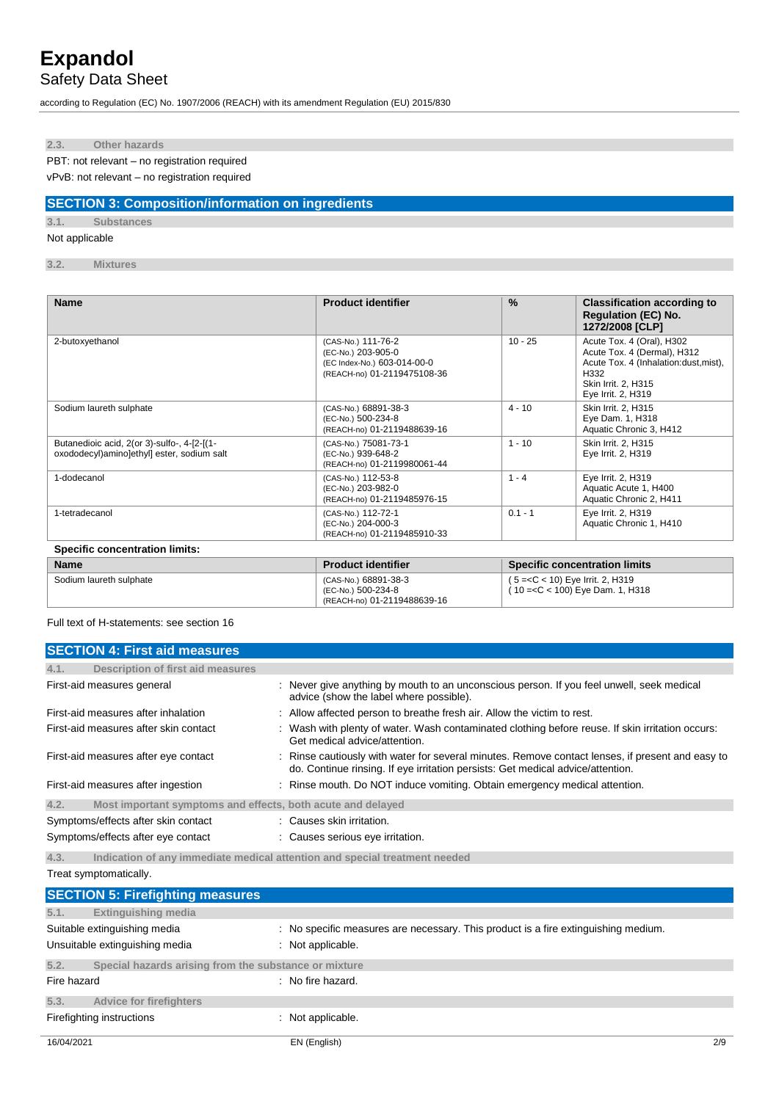Safety Data Sheet

according to Regulation (EC) No. 1907/2006 (REACH) with its amendment Regulation (EU) 2015/830

**2.3. Other hazards**

PBT: not relevant – no registration required

vPvB: not relevant – no registration required

### **SECTION 3: Composition/information on ingredients**

**3.1. Substances**

Not applicable

**3.2. Mixtures**

| <b>Name</b>                                                                                | <b>Product identifier</b>                                                                              | $\frac{9}{6}$ | <b>Classification according to</b><br><b>Regulation (EC) No.</b><br>1272/2008 [CLP]                                                                    |
|--------------------------------------------------------------------------------------------|--------------------------------------------------------------------------------------------------------|---------------|--------------------------------------------------------------------------------------------------------------------------------------------------------|
| 2-butoxyethanol                                                                            | (CAS-No.) 111-76-2<br>(EC-No.) 203-905-0<br>(EC Index-No.) 603-014-00-0<br>(REACH-no) 01-2119475108-36 | $10 - 25$     | Acute Tox. 4 (Oral), H302<br>Acute Tox. 4 (Dermal), H312<br>Acute Tox. 4 (Inhalation:dust, mist),<br>H332<br>Skin Irrit. 2, H315<br>Eye Irrit. 2, H319 |
| Sodium laureth sulphate                                                                    | (CAS-No.) 68891-38-3<br>(EC-No.) 500-234-8<br>(REACH-no) 01-2119488639-16                              | $4 - 10$      | Skin Irrit. 2. H315<br>Eye Dam. 1, H318<br>Aquatic Chronic 3, H412                                                                                     |
| Butanedioic acid, 2(or 3)-sulfo-, 4-[2-[(1-<br>oxododecyl) aminolethyll ester, sodium salt | (CAS-No.) 75081-73-1<br>(EC-No.) 939-648-2<br>(REACH-no) 01-2119980061-44                              | $1 - 10$      | Skin Irrit. 2, H315<br>Eye Irrit. 2, H319                                                                                                              |
| 1-dodecanol                                                                                | (CAS-No.) 112-53-8<br>(EC-No.) 203-982-0<br>(REACH-no) 01-2119485976-15                                | $1 - 4$       | Eye Irrit. 2, H319<br>Aquatic Acute 1, H400<br>Aquatic Chronic 2, H411                                                                                 |
| 1-tetradecanol                                                                             | (CAS-No.) 112-72-1<br>(EC-No.) 204-000-3<br>(REACH-no) 01-2119485910-33                                | $0.1 - 1$     | Eye Irrit. 2, H319<br>Aquatic Chronic 1, H410                                                                                                          |
| <b>Specific concentration limits:</b>                                                      |                                                                                                        |               |                                                                                                                                                        |

| <b>Name</b>             | <b>Product identifier</b>                                                 | <b>Specific concentration limits</b>                                   |
|-------------------------|---------------------------------------------------------------------------|------------------------------------------------------------------------|
| Sodium laureth sulphate | (CAS-No.) 68891-38-3<br>(EC-No.) 500-234-8<br>(REACH-no) 01-2119488639-16 | $(5 = C < 10)$ Eye Irrit. 2, H319<br>(10 = < C < 100) Eye Dam. 1, H318 |

Full text of H-statements: see section 16

| <b>SECTION 4: First aid measures</b>                                |                                                                                                                                                                                     |
|---------------------------------------------------------------------|-------------------------------------------------------------------------------------------------------------------------------------------------------------------------------------|
| 4.1.<br>Description of first aid measures                           |                                                                                                                                                                                     |
| First-aid measures general                                          | : Never give anything by mouth to an unconscious person. If you feel unwell, seek medical<br>advice (show the label where possible).                                                |
| First-aid measures after inhalation                                 | : Allow affected person to breathe fresh air. Allow the victim to rest.                                                                                                             |
| First-aid measures after skin contact                               | Wash with plenty of water. Wash contaminated clothing before reuse. If skin irritation occurs:<br>Get medical advice/attention.                                                     |
| First-aid measures after eye contact                                | : Rinse cautiously with water for several minutes. Remove contact lenses, if present and easy to<br>do. Continue rinsing. If eye irritation persists: Get medical advice/attention. |
| First-aid measures after ingestion                                  | : Rinse mouth. Do NOT induce vomiting. Obtain emergency medical attention.                                                                                                          |
| Most important symptoms and effects, both acute and delayed<br>4.2. |                                                                                                                                                                                     |
| Symptoms/effects after skin contact                                 | : Causes skin irritation.                                                                                                                                                           |
| Symptoms/effects after eye contact                                  | : Causes serious eye irritation.                                                                                                                                                    |
| 4.3.                                                                | Indication of any immediate medical attention and special treatment needed                                                                                                          |
| Treat symptomatically.                                              |                                                                                                                                                                                     |

|             | <b>SECTION 5: Firefighting measures</b>                        |                                                                                                         |     |
|-------------|----------------------------------------------------------------|---------------------------------------------------------------------------------------------------------|-----|
| 5.1.        | <b>Extinguishing media</b>                                     |                                                                                                         |     |
|             | Suitable extinguishing media<br>Unsuitable extinguishing media | : No specific measures are necessary. This product is a fire extinguishing medium.<br>: Not applicable. |     |
| 5.2.        | Special hazards arising from the substance or mixture          |                                                                                                         |     |
| Fire hazard |                                                                | : No fire hazard.                                                                                       |     |
| 5.3.        | <b>Advice for firefighters</b>                                 |                                                                                                         |     |
|             | Firefighting instructions                                      | : Not applicable.                                                                                       |     |
| 16/04/2021  |                                                                | EN (English)                                                                                            | 2/9 |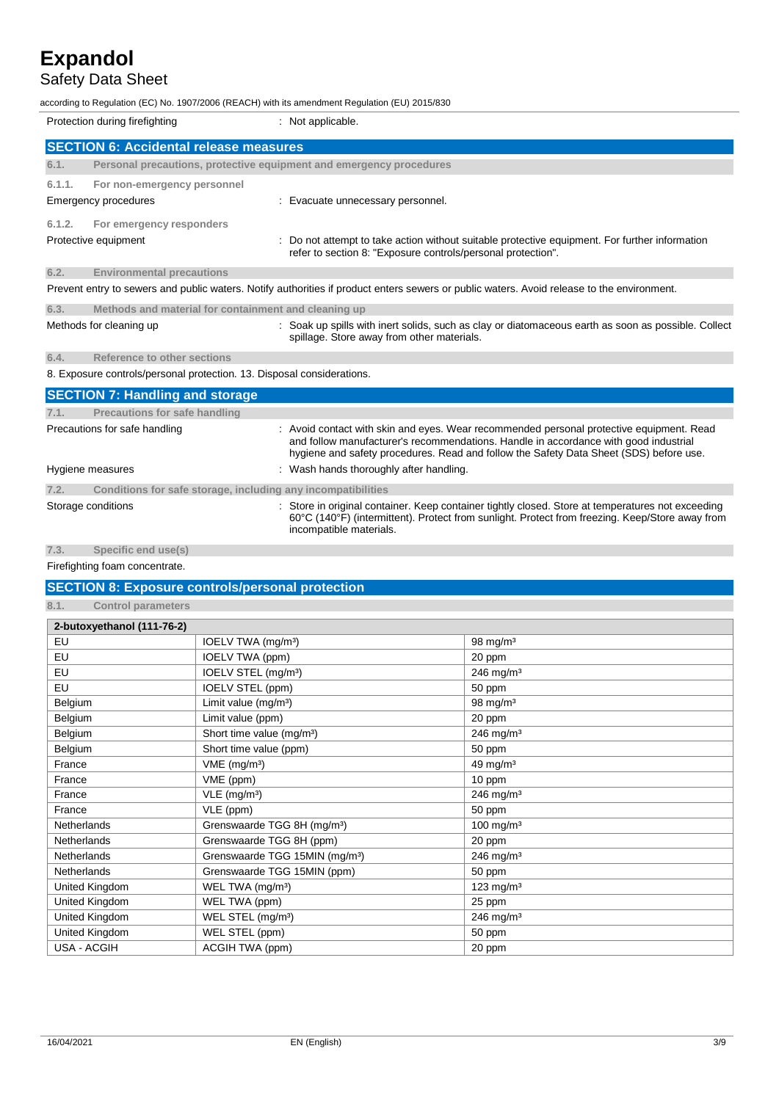### Safety Data Sheet

according to Regulation (EC) No. 1907/2006 (REACH) with its amendment Regulation (EU) 2015/830

| Protection during firefighting                                         |                                                                     | : Not applicable.                                                                                                                                                                                                                                                          |
|------------------------------------------------------------------------|---------------------------------------------------------------------|----------------------------------------------------------------------------------------------------------------------------------------------------------------------------------------------------------------------------------------------------------------------------|
|                                                                        | <b>SECTION 6: Accidental release measures</b>                       |                                                                                                                                                                                                                                                                            |
| 6.1.                                                                   | Personal precautions, protective equipment and emergency procedures |                                                                                                                                                                                                                                                                            |
| 6.1.1.                                                                 | For non-emergency personnel                                         |                                                                                                                                                                                                                                                                            |
|                                                                        | <b>Emergency procedures</b>                                         | Evacuate unnecessary personnel.                                                                                                                                                                                                                                            |
| 6.1.2.                                                                 | For emergency responders                                            |                                                                                                                                                                                                                                                                            |
|                                                                        | Protective equipment                                                | : Do not attempt to take action without suitable protective equipment. For further information<br>refer to section 8: "Exposure controls/personal protection".                                                                                                             |
| 6.2.                                                                   | <b>Environmental precautions</b>                                    |                                                                                                                                                                                                                                                                            |
|                                                                        |                                                                     | Prevent entry to sewers and public waters. Notify authorities if product enters sewers or public waters. Avoid release to the environment.                                                                                                                                 |
| 6.3.                                                                   | Methods and material for containment and cleaning up                |                                                                                                                                                                                                                                                                            |
|                                                                        | Methods for cleaning up                                             | : Soak up spills with inert solids, such as clay or diatomaceous earth as soon as possible. Collect<br>spillage. Store away from other materials.                                                                                                                          |
| 6.4.                                                                   | Reference to other sections                                         |                                                                                                                                                                                                                                                                            |
| 8. Exposure controls/personal protection. 13. Disposal considerations. |                                                                     |                                                                                                                                                                                                                                                                            |
|                                                                        | <b>SECTION 7: Handling and storage</b>                              |                                                                                                                                                                                                                                                                            |
| 7.1.                                                                   | <b>Precautions for safe handling</b>                                |                                                                                                                                                                                                                                                                            |
|                                                                        | Precautions for safe handling                                       | : Avoid contact with skin and eyes. Wear recommended personal protective equipment. Read<br>and follow manufacturer's recommendations. Handle in accordance with good industrial<br>hygiene and safety procedures. Read and follow the Safety Data Sheet (SDS) before use. |
|                                                                        | Hygiene measures                                                    | : Wash hands thoroughly after handling.                                                                                                                                                                                                                                    |
| 7.2.                                                                   | Conditions for safe storage, including any incompatibilities        |                                                                                                                                                                                                                                                                            |

Storage conditions : Store in original container. Keep container tightly closed. Store at temperatures not exceeding

incompatible materials.

60°C (140°F) (intermittent). Protect from sunlight. Protect from freezing. Keep/Store away from

**7.3. Specific end use(s)** Firefighting foam concentrate.

### **SECTION 8: Exposure controls/personal protection**

**8.1. Control parameters**

| 2-butoxyethanol (111-76-2) |                                            |                         |
|----------------------------|--------------------------------------------|-------------------------|
| EU                         | IOELV TWA (mg/m <sup>3</sup> )             | $98$ mg/m <sup>3</sup>  |
| EU                         | IOELV TWA (ppm)                            | 20 ppm                  |
| EU                         | IOELV STEL (mg/m <sup>3</sup> )            | $246$ mg/m <sup>3</sup> |
| EU                         | IOELV STEL (ppm)                           | 50 ppm                  |
| Belgium                    | Limit value (mg/m <sup>3</sup> )           | 98 mg/m $3$             |
| Belgium                    | Limit value (ppm)                          | 20 ppm                  |
| Belgium                    | Short time value (mg/m <sup>3</sup> )      | $246$ mg/m <sup>3</sup> |
| Belgium                    | Short time value (ppm)                     | 50 ppm                  |
| France                     | $VME$ (mg/m <sup>3</sup> )                 | 49 mg/m $3$             |
| France                     | VME (ppm)                                  | 10 ppm                  |
| France                     | VLE (mg/m <sup>3</sup> )                   | 246 mg/m <sup>3</sup>   |
| France                     | VLE (ppm)                                  | 50 ppm                  |
| Netherlands                | Grenswaarde TGG 8H (mg/m <sup>3</sup> )    | $100$ mg/m <sup>3</sup> |
| <b>Netherlands</b>         | Grenswaarde TGG 8H (ppm)                   | 20 ppm                  |
| <b>Netherlands</b>         | Grenswaarde TGG 15MIN (mg/m <sup>3</sup> ) | $246$ mg/m <sup>3</sup> |
| <b>Netherlands</b>         | Grenswaarde TGG 15MIN (ppm)                | 50 ppm                  |
| United Kingdom             | WEL TWA (mg/m <sup>3</sup> )               | $123$ mg/m <sup>3</sup> |
| United Kingdom             | WEL TWA (ppm)                              | 25 ppm                  |
| United Kingdom             | WEL STEL (mg/m <sup>3</sup> )              | $246$ mg/m <sup>3</sup> |
| United Kingdom             | WEL STEL (ppm)                             | 50 ppm                  |
| <b>USA - ACGIH</b>         | ACGIH TWA (ppm)                            | 20 ppm                  |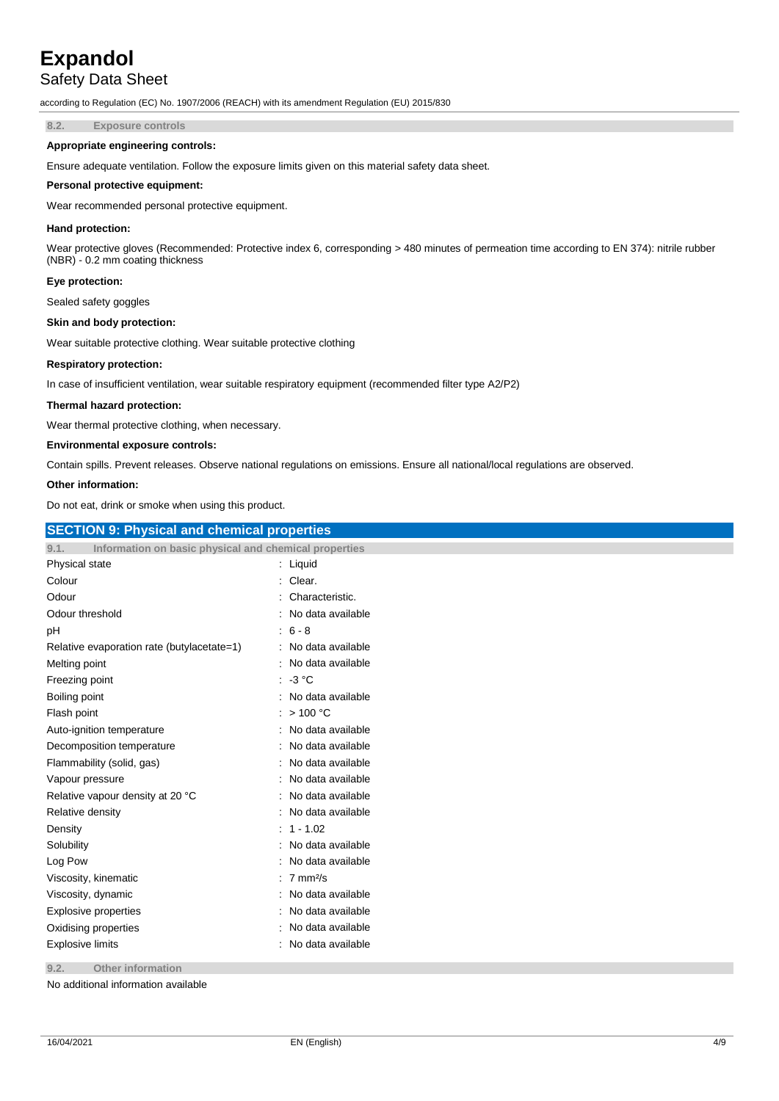### Safety Data Sheet

according to Regulation (EC) No. 1907/2006 (REACH) with its amendment Regulation (EU) 2015/830

**8.2. Exposure controls**

#### **Appropriate engineering controls:**

Ensure adequate ventilation. Follow the exposure limits given on this material safety data sheet.

#### **Personal protective equipment:**

Wear recommended personal protective equipment.

#### **Hand protection:**

Wear protective gloves (Recommended: Protective index 6, corresponding > 480 minutes of permeation time according to EN 374): nitrile rubber (NBR) - 0.2 mm coating thickness

#### **Eye protection:**

Sealed safety goggles

#### **Skin and body protection:**

Wear suitable protective clothing. Wear suitable protective clothing

#### **Respiratory protection:**

In case of insufficient ventilation, wear suitable respiratory equipment (recommended filter type A2/P2)

#### **Thermal hazard protection:**

Wear thermal protective clothing, when necessary.

#### **Environmental exposure controls:**

Contain spills. Prevent releases. Observe national regulations on emissions. Ensure all national/local regulations are observed.

#### **Other information:**

Do not eat, drink or smoke when using this product.

| <b>SECTION 9: Physical and chemical properties</b>            |                     |
|---------------------------------------------------------------|---------------------|
| Information on basic physical and chemical properties<br>9.1. |                     |
| Physical state                                                | : Liquid            |
| Colour                                                        | Clear.              |
| Odour                                                         | Characteristic.     |
| Odour threshold                                               | No data available   |
| рH                                                            | $6 - 8$             |
| Relative evaporation rate (butylacetate=1)                    | No data available   |
| Melting point                                                 | No data available   |
| Freezing point                                                | $-3 °C$             |
| Boiling point                                                 | No data available   |
| Flash point                                                   | >100 °C             |
| Auto-ignition temperature                                     | No data available   |
| Decomposition temperature                                     | No data available   |
| Flammability (solid, gas)                                     | No data available   |
| Vapour pressure                                               | No data available   |
| Relative vapour density at 20 °C                              | No data available   |
| Relative density                                              | No data available   |
| Density                                                       | $: 1 - 1.02$        |
| Solubility                                                    | No data available   |
| Log Pow                                                       | No data available   |
| Viscosity, kinematic                                          | $7 \text{ mm}^2$ /s |
| Viscosity, dynamic                                            | No data available   |
| <b>Explosive properties</b>                                   | No data available   |
| Oxidising properties                                          | No data available   |
| <b>Explosive limits</b>                                       | No data available   |
| 9.2.<br>Other information                                     |                     |

No additional information available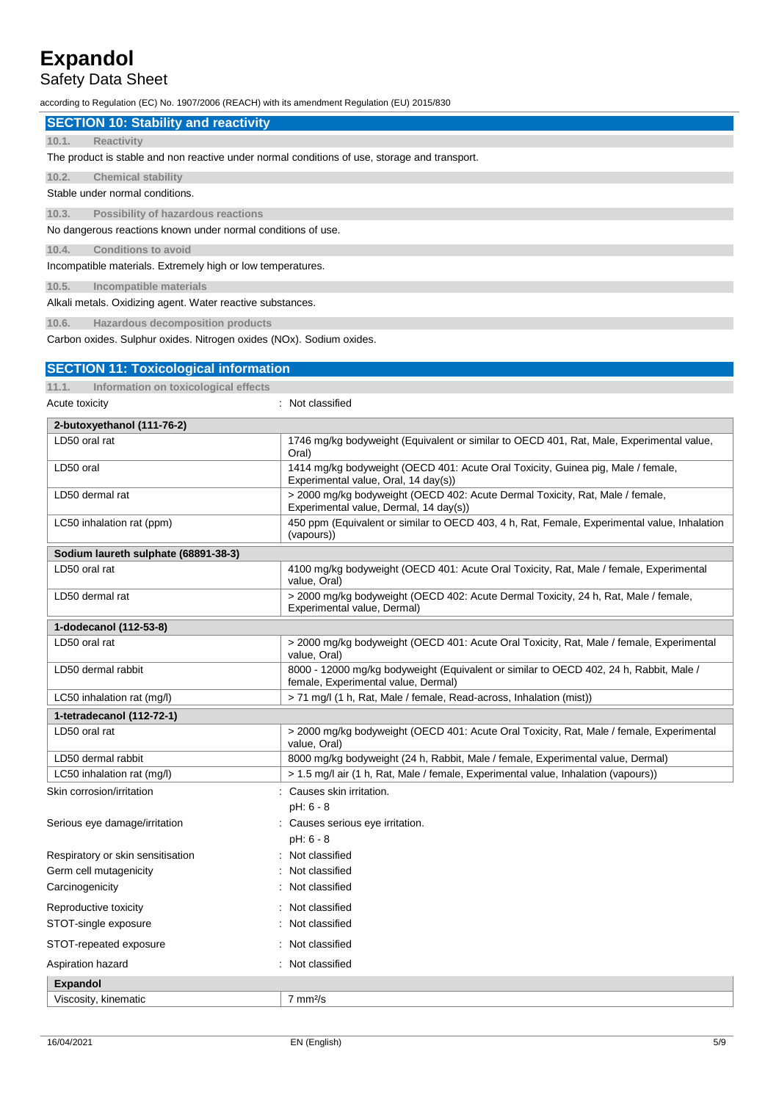### Safety Data Sheet

according to Regulation (EC) No. 1907/2006 (REACH) with its amendment Regulation (EU) 2015/830

|                                                              | <b>SECTION 10: Stability and reactivity</b>                                                   |  |  |
|--------------------------------------------------------------|-----------------------------------------------------------------------------------------------|--|--|
| 10.1.                                                        | <b>Reactivity</b>                                                                             |  |  |
|                                                              | The product is stable and non reactive under normal conditions of use, storage and transport. |  |  |
| 10.2.                                                        | <b>Chemical stability</b>                                                                     |  |  |
|                                                              | Stable under normal conditions.                                                               |  |  |
| 10.3.                                                        | Possibility of hazardous reactions                                                            |  |  |
| No dangerous reactions known under normal conditions of use. |                                                                                               |  |  |
| 10.4.                                                        | Conditions to avoid                                                                           |  |  |
|                                                              | Incompatible materials. Extremely high or low temperatures.                                   |  |  |
| 10.5.                                                        | Incompatible materials                                                                        |  |  |
|                                                              | Alkali metals. Oxidizing agent. Water reactive substances.                                    |  |  |
| 10.6.                                                        | Hazardous decomposition products                                                              |  |  |

Carbon oxides. Sulphur oxides. Nitrogen oxides (NOx). Sodium oxides.

| <b>SECTION 11: Toxicological information</b>  |                                                                                                                               |
|-----------------------------------------------|-------------------------------------------------------------------------------------------------------------------------------|
| 11.1.<br>Information on toxicological effects |                                                                                                                               |
| Acute toxicity                                | : Not classified                                                                                                              |
| 2-butoxyethanol (111-76-2)                    |                                                                                                                               |
| LD50 oral rat                                 | 1746 mg/kg bodyweight (Equivalent or similar to OECD 401, Rat, Male, Experimental value,<br>Oral)                             |
| LD50 oral                                     | 1414 mg/kg bodyweight (OECD 401: Acute Oral Toxicity, Guinea pig, Male / female,<br>Experimental value, Oral, 14 day(s))      |
| LD50 dermal rat                               | > 2000 mg/kg bodyweight (OECD 402: Acute Dermal Toxicity, Rat, Male / female,<br>Experimental value, Dermal, 14 day(s))       |
| LC50 inhalation rat (ppm)                     | 450 ppm (Equivalent or similar to OECD 403, 4 h, Rat, Female, Experimental value, Inhalation<br>(vapours))                    |
| Sodium laureth sulphate (68891-38-3)          |                                                                                                                               |
| LD50 oral rat                                 | 4100 mg/kg bodyweight (OECD 401: Acute Oral Toxicity, Rat, Male / female, Experimental<br>value, Oral)                        |
| LD50 dermal rat                               | > 2000 mg/kg bodyweight (OECD 402: Acute Dermal Toxicity, 24 h, Rat, Male / female,<br>Experimental value, Dermal)            |
| 1-dodecanol (112-53-8)                        |                                                                                                                               |
| LD50 oral rat                                 | > 2000 mg/kg bodyweight (OECD 401: Acute Oral Toxicity, Rat, Male / female, Experimental<br>value, Oral)                      |
| LD50 dermal rabbit                            | 8000 - 12000 mg/kg bodyweight (Equivalent or similar to OECD 402, 24 h, Rabbit, Male /<br>female, Experimental value, Dermal) |
| LC50 inhalation rat (mg/l)                    | > 71 mg/l (1 h, Rat, Male / female, Read-across, Inhalation (mist))                                                           |
| 1-tetradecanol (112-72-1)                     |                                                                                                                               |
| LD50 oral rat                                 | > 2000 mg/kg bodyweight (OECD 401: Acute Oral Toxicity, Rat, Male / female, Experimental<br>value, Oral)                      |
| LD50 dermal rabbit                            | 8000 mg/kg bodyweight (24 h, Rabbit, Male / female, Experimental value, Dermal)                                               |
| LC50 inhalation rat (mg/l)                    | > 1.5 mg/l air (1 h, Rat, Male / female, Experimental value, Inhalation (vapours))                                            |
| Skin corrosion/irritation                     | : Causes skin irritation.<br>pH: 6 - 8                                                                                        |
| Serious eye damage/irritation                 | : Causes serious eye irritation.<br>pH: 6 - 8                                                                                 |
| Respiratory or skin sensitisation             | Not classified                                                                                                                |
| Germ cell mutagenicity                        | : Not classified                                                                                                              |
| Carcinogenicity                               | Not classified                                                                                                                |
| Reproductive toxicity                         | : Not classified                                                                                                              |
| STOT-single exposure                          | : Not classified                                                                                                              |
| STOT-repeated exposure                        | Not classified                                                                                                                |
| Aspiration hazard                             | : Not classified                                                                                                              |
| <b>Expandol</b>                               |                                                                                                                               |
| Viscosity, kinematic                          | $7 \text{ mm}$ <sup>2</sup> /s                                                                                                |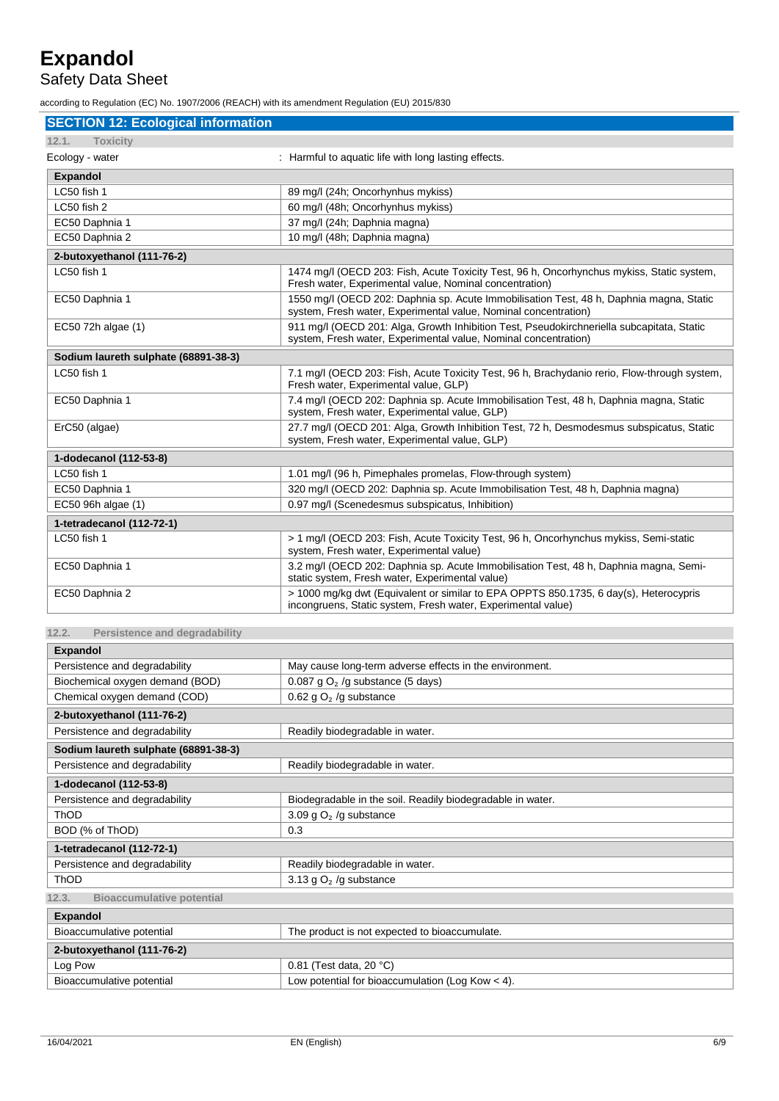# Safety Data Sheet

according to Regulation (EC) No. 1907/2006 (REACH) with its amendment Regulation (EU) 2015/830

| <b>SECTION 12: Ecological information</b> |                                                                                                                                                              |  |
|-------------------------------------------|--------------------------------------------------------------------------------------------------------------------------------------------------------------|--|
| 12.1.<br><b>Toxicity</b>                  |                                                                                                                                                              |  |
| Ecology - water                           | : Harmful to aquatic life with long lasting effects.                                                                                                         |  |
| <b>Expandol</b>                           |                                                                                                                                                              |  |
| LC50 fish 1                               | 89 mg/l (24h; Oncorhynhus mykiss)                                                                                                                            |  |
| LC50 fish 2                               | 60 mg/l (48h; Oncorhynhus mykiss)                                                                                                                            |  |
| EC50 Daphnia 1                            | 37 mg/l (24h; Daphnia magna)                                                                                                                                 |  |
| EC50 Daphnia 2                            | 10 mg/l (48h; Daphnia magna)                                                                                                                                 |  |
| 2-butoxyethanol (111-76-2)                |                                                                                                                                                              |  |
| LC50 fish 1                               | 1474 mg/l (OECD 203: Fish, Acute Toxicity Test, 96 h, Oncorhynchus mykiss, Static system,<br>Fresh water, Experimental value, Nominal concentration)         |  |
| EC50 Daphnia 1                            | 1550 mg/l (OECD 202: Daphnia sp. Acute Immobilisation Test, 48 h, Daphnia magna, Static<br>system, Fresh water, Experimental value, Nominal concentration)   |  |
| EC50 72h algae (1)                        | 911 mg/l (OECD 201: Alga, Growth Inhibition Test, Pseudokirchneriella subcapitata, Static<br>system, Fresh water, Experimental value, Nominal concentration) |  |
| Sodium laureth sulphate (68891-38-3)      |                                                                                                                                                              |  |
| LC50 fish 1                               | 7.1 mg/l (OECD 203: Fish, Acute Toxicity Test, 96 h, Brachydanio rerio, Flow-through system,<br>Fresh water, Experimental value, GLP)                        |  |
| EC50 Daphnia 1                            | 7.4 mg/l (OECD 202: Daphnia sp. Acute Immobilisation Test, 48 h, Daphnia magna, Static<br>system, Fresh water, Experimental value, GLP)                      |  |
| ErC50 (algae)                             | 27.7 mg/l (OECD 201: Alga, Growth Inhibition Test, 72 h, Desmodesmus subspicatus, Static<br>system, Fresh water, Experimental value, GLP)                    |  |
| 1-dodecanol (112-53-8)                    |                                                                                                                                                              |  |
| LC50 fish 1                               | 1.01 mg/l (96 h, Pimephales promelas, Flow-through system)                                                                                                   |  |
| EC50 Daphnia 1                            | 320 mg/l (OECD 202: Daphnia sp. Acute Immobilisation Test, 48 h, Daphnia magna)                                                                              |  |
| EC50 96h algae (1)                        | 0.97 mg/l (Scenedesmus subspicatus, Inhibition)                                                                                                              |  |
| 1-tetradecanol (112-72-1)                 |                                                                                                                                                              |  |
| LC50 fish 1                               | > 1 mg/l (OECD 203: Fish, Acute Toxicity Test, 96 h, Oncorhynchus mykiss, Semi-static<br>system, Fresh water, Experimental value)                            |  |
| EC50 Daphnia 1                            | 3.2 mg/l (OECD 202: Daphnia sp. Acute Immobilisation Test, 48 h, Daphnia magna, Semi-<br>static system, Fresh water, Experimental value)                     |  |
| EC50 Daphnia 2                            | > 1000 mg/kg dwt (Equivalent or similar to EPA OPPTS 850.1735, 6 day(s), Heterocypris<br>incongruens, Static system, Fresh water, Experimental value)        |  |
| Persistence and degradability<br>12.2.    |                                                                                                                                                              |  |

| <b>Expandol</b>                           |                                                            |  |
|-------------------------------------------|------------------------------------------------------------|--|
| Persistence and degradability             | May cause long-term adverse effects in the environment.    |  |
| Biochemical oxygen demand (BOD)           | 0.087 g $O2$ /g substance (5 days)                         |  |
| Chemical oxygen demand (COD)              | 0.62 g $O2$ /g substance                                   |  |
| 2-butoxyethanol (111-76-2)                |                                                            |  |
| Persistence and degradability             | Readily biodegradable in water.                            |  |
| Sodium laureth sulphate (68891-38-3)      |                                                            |  |
| Persistence and degradability             | Readily biodegradable in water.                            |  |
| 1-dodecanol (112-53-8)                    |                                                            |  |
| Persistence and degradability             | Biodegradable in the soil. Readily biodegradable in water. |  |
| <b>ThOD</b>                               | 3.09 g $O2$ /g substance                                   |  |
| BOD (% of ThOD)                           | 0.3                                                        |  |
| 1-tetradecanol (112-72-1)                 |                                                            |  |
| Persistence and degradability             | Readily biodegradable in water.                            |  |
| <b>ThOD</b>                               | 3.13 g $O2$ /g substance                                   |  |
| <b>Bioaccumulative potential</b><br>12.3. |                                                            |  |
| <b>Expandol</b>                           |                                                            |  |
| Bioaccumulative potential                 | The product is not expected to bioaccumulate.              |  |
| 2-butoxyethanol (111-76-2)                |                                                            |  |
| Log Pow                                   | 0.81 (Test data, 20 °C)                                    |  |
| Bioaccumulative potential                 | Low potential for bioaccumulation (Log Kow $<$ 4).         |  |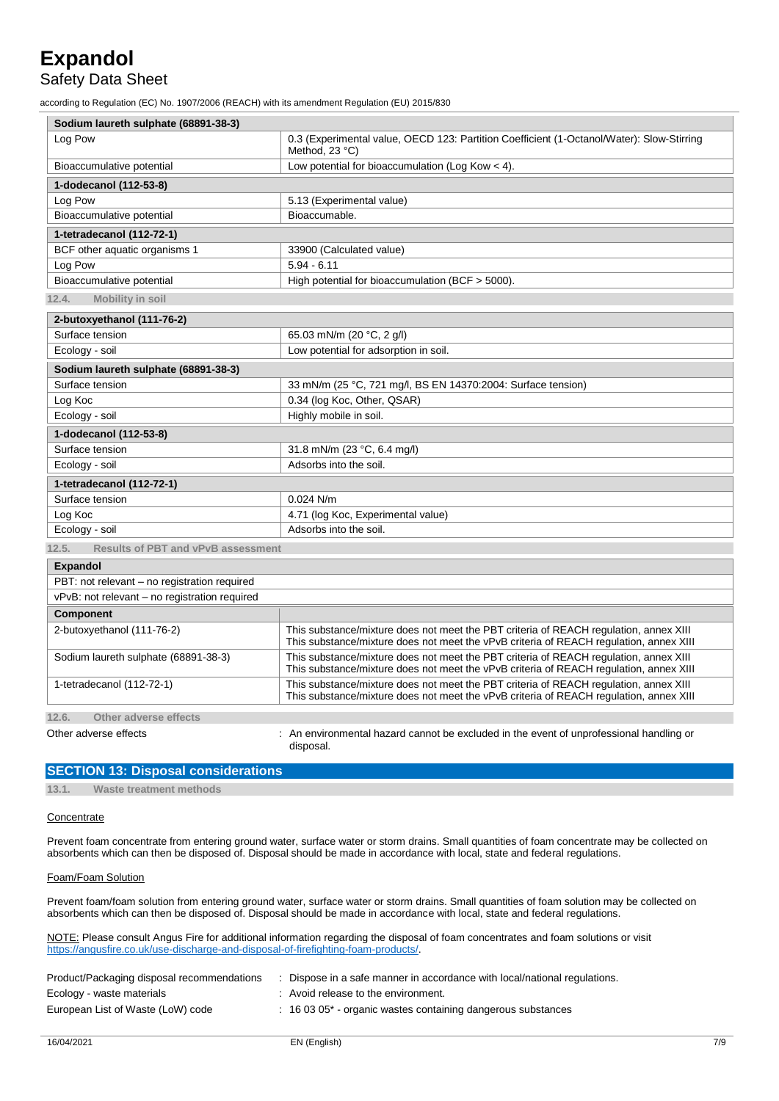### Safety Data Sheet

according to Regulation (EC) No. 1907/2006 (REACH) with its amendment Regulation (EU) 2015/830

| Sodium laureth sulphate (68891-38-3)               |                                                                                                                                                                                 |  |  |  |
|----------------------------------------------------|---------------------------------------------------------------------------------------------------------------------------------------------------------------------------------|--|--|--|
| Log Pow                                            | 0.3 (Experimental value, OECD 123: Partition Coefficient (1-Octanol/Water): Slow-Stirring<br>Method, 23 °C)                                                                     |  |  |  |
| Bioaccumulative potential                          | Low potential for bioaccumulation (Log Kow $<$ 4).                                                                                                                              |  |  |  |
| 1-dodecanol (112-53-8)                             |                                                                                                                                                                                 |  |  |  |
| Log Pow                                            | 5.13 (Experimental value)                                                                                                                                                       |  |  |  |
| Bioaccumulative potential                          | Bioaccumable.                                                                                                                                                                   |  |  |  |
| 1-tetradecanol (112-72-1)                          |                                                                                                                                                                                 |  |  |  |
| BCF other aquatic organisms 1                      | 33900 (Calculated value)                                                                                                                                                        |  |  |  |
| Log Pow                                            | $5.94 - 6.11$                                                                                                                                                                   |  |  |  |
| Bioaccumulative potential                          | High potential for bioaccumulation (BCF > 5000).                                                                                                                                |  |  |  |
| 12.4.<br>Mobility in soil                          |                                                                                                                                                                                 |  |  |  |
| 2-butoxyethanol (111-76-2)                         |                                                                                                                                                                                 |  |  |  |
| Surface tension                                    | 65.03 mN/m (20 °C, 2 g/l)                                                                                                                                                       |  |  |  |
| Ecology - soil                                     | Low potential for adsorption in soil.                                                                                                                                           |  |  |  |
| Sodium laureth sulphate (68891-38-3)               |                                                                                                                                                                                 |  |  |  |
| Surface tension                                    | 33 mN/m (25 °C, 721 mg/l, BS EN 14370:2004: Surface tension)                                                                                                                    |  |  |  |
| Log Koc                                            | 0.34 (log Koc, Other, QSAR)                                                                                                                                                     |  |  |  |
| Ecology - soil                                     | Highly mobile in soil.                                                                                                                                                          |  |  |  |
| 1-dodecanol (112-53-8)                             |                                                                                                                                                                                 |  |  |  |
| Surface tension                                    | 31.8 mN/m (23 °C, 6.4 mg/l)                                                                                                                                                     |  |  |  |
| Ecology - soil                                     | Adsorbs into the soil.                                                                                                                                                          |  |  |  |
| 1-tetradecanol (112-72-1)                          |                                                                                                                                                                                 |  |  |  |
| Surface tension                                    | $0.024$ N/m                                                                                                                                                                     |  |  |  |
| Log Koc                                            | 4.71 (log Koc, Experimental value)                                                                                                                                              |  |  |  |
| Ecology - soil                                     | Adsorbs into the soil.                                                                                                                                                          |  |  |  |
| 12.5.<br><b>Results of PBT and vPvB assessment</b> |                                                                                                                                                                                 |  |  |  |
| <b>Expandol</b>                                    |                                                                                                                                                                                 |  |  |  |
| PBT: not relevant - no registration required       |                                                                                                                                                                                 |  |  |  |
| vPvB: not relevant – no registration required      |                                                                                                                                                                                 |  |  |  |
| <b>Component</b>                                   |                                                                                                                                                                                 |  |  |  |
| 2-butoxyethanol (111-76-2)                         | This substance/mixture does not meet the PBT criteria of REACH regulation, annex XIII<br>This substance/mixture does not meet the vPvB criteria of REACH regulation, annex XIII |  |  |  |
| Sodium laureth sulphate (68891-38-3)               | This substance/mixture does not meet the PBT criteria of REACH regulation, annex XIII<br>This substance/mixture does not meet the vPvB criteria of REACH regulation, annex XIII |  |  |  |
| 1-tetradecanol (112-72-1)                          | This substance/mixture does not meet the PBT criteria of REACH regulation, annex XIII<br>This substance/mixture does not meet the vPvB criteria of REACH regulation, annex XIII |  |  |  |
| 12.6.<br>Other adverse effects                     |                                                                                                                                                                                 |  |  |  |
| Other adverse effects                              | : An environmental hazard cannot be excluded in the event of unprofessional handling or<br>disposal.                                                                            |  |  |  |

### **SECTION 13: Disposal considerations**

**13.1. Waste treatment methods**

#### **Concentrate**

Prevent foam concentrate from entering ground water, surface water or storm drains. Small quantities of foam concentrate may be collected on absorbents which can then be disposed of. Disposal should be made in accordance with local, state and federal regulations.

#### Foam/Foam Solution

Prevent foam/foam solution from entering ground water, surface water or storm drains. Small quantities of foam solution may be collected on absorbents which can then be disposed of. Disposal should be made in accordance with local, state and federal regulations.

NOTE: Please consult Angus Fire for additional information regarding the disposal of foam concentrates and foam solutions or visit [https://angusfire.co.uk/use-discharge-and-disposal-of-firefighting-foam-products/.](https://angusfire.co.uk/use-discharge-and-disposal-of-firefighting-foam-products/)

| Product/Packaging disposal recommendations | Dispose in a safe manner in accordance with local/national regulations. |
|--------------------------------------------|-------------------------------------------------------------------------|
| Ecology - waste materials                  | : Avoid release to the environment.                                     |
| European List of Waste (LoW) code          | $\pm$ 16 03 05 $^*$ - organic wastes containing dangerous substances    |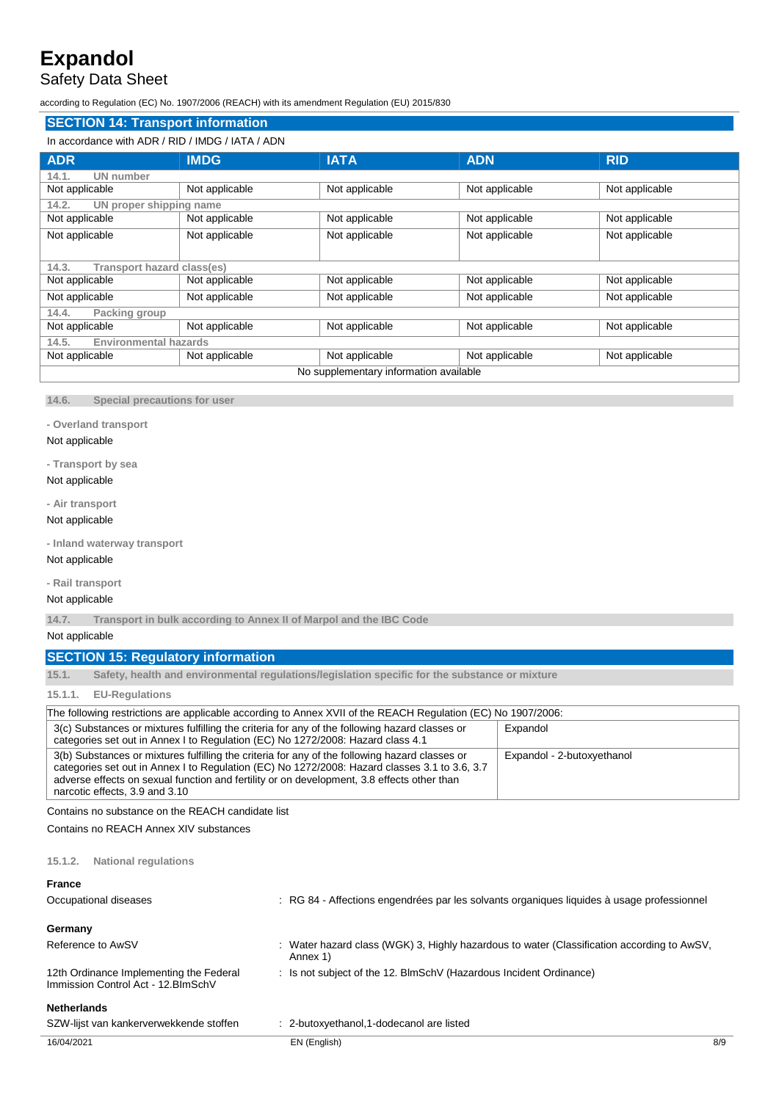## Safety Data Sheet

according to Regulation (EC) No. 1907/2006 (REACH) with its amendment Regulation (EU) 2015/830

### **SECTION 14: Transport information** In accordance with ADR / RID / IMDG / IATA / ADN **ADR IMDG IATA ADN RID 14.1. UN number** Not applicable Not applicable Not applicable Not applicable Not applicable Not applicable Not applicable **14.2. UN proper shipping name** Not applicable Not applicable Not applicable Not applicable Not applicable Not applicable Not applicable Not applicable Not applicable Not applicable Not applicable Not applicable Not applicable Not applicable **14.3. Transport hazard class(es)** Not applicable Not applicable Not applicable Not applicable Not applicable Not applicable Not applicable Not applicable Not applicable Not applicable Not applicable Not applicable Not applicable **14.4. Packing group** Not applicable Not applicable Not applicable Not applicable Not applicable Not applicable Not applicable **14.5. Environmental hazards** Not applicable Not applicable Not applicable Not applicable Not applicable Not applicable Not applicable No supplementary information available

**14.6. Special precautions for user**

**- Overland transport**

#### Not applicable

#### **- Transport by sea**

#### Not applicable

**- Air transport**

### Not applicable

**- Inland waterway transport**

#### Not applicable

**- Rail transport**

#### Not applicable

**14.7. Transport in bulk according to Annex II of Marpol and the IBC Code**

#### Not applicable

#### **SECTION 15: Regulatory information**

**15.1. Safety, health and environmental regulations/legislation specific for the substance or mixture**

#### **15.1.1. EU-Regulations**

| The following restrictions are applicable according to Annex XVII of the REACH Regulation (EC) No 1907/2006: |                            |  |
|--------------------------------------------------------------------------------------------------------------|----------------------------|--|
| 3(c) Substances or mixtures fulfilling the criteria for any of the following hazard classes or               | Expandol                   |  |
| categories set out in Annex I to Regulation (EC) No 1272/2008: Hazard class 4.1                              |                            |  |
| 3(b) Substances or mixtures fulfilling the criteria for any of the following hazard classes or               | Expandol - 2-butoxyethanol |  |
| categories set out in Annex I to Regulation (EC) No 1272/2008: Hazard classes 3.1 to 3.6, 3.7                |                            |  |
| adverse effects on sexual function and fertility or on development, 3.8 effects other than                   |                            |  |
| narcotic effects, 3.9 and 3.10                                                                               |                            |  |

Contains no substance on the REACH candidate list

Contains no REACH Annex XIV substances

#### **15.1.2. National regulations**

#### **France**

| <b>Netherlands</b><br>SZW-lijst van kankerverwekkende stoffen                  | : 2-butoxyethanol, 1-dodecanol are listed                                                              |
|--------------------------------------------------------------------------------|--------------------------------------------------------------------------------------------------------|
| 12th Ordinance Implementing the Federal<br>Immission Control Act - 12. BlmSchV | : Is not subject of the 12. BlmSchV (Hazardous Incident Ordinance)                                     |
| Germany<br>Reference to AwSV                                                   | : Water hazard class (WGK) 3, Highly hazardous to water (Classification according to AwSV,<br>Annex 1) |
| Occupational diseases                                                          | : RG 84 - Affections engendrées par les solvants organiques liquides à usage professionnel             |